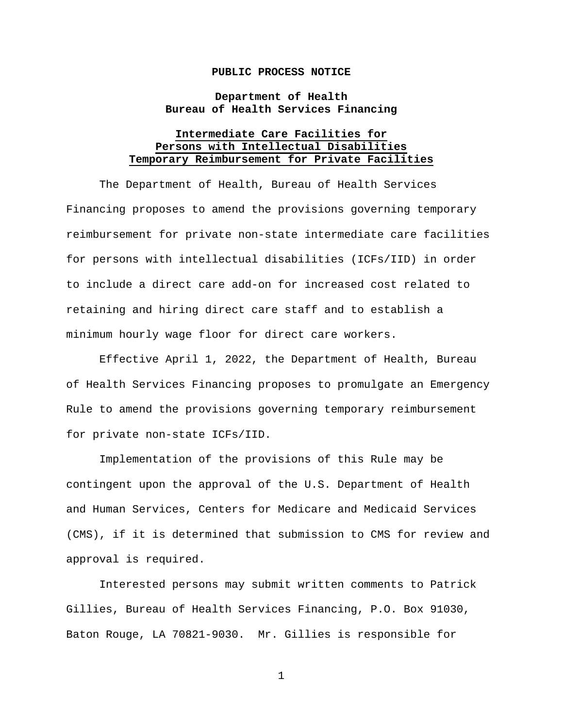## **PUBLIC PROCESS NOTICE**

## **Department of Health Bureau of Health Services Financing**

## **Intermediate Care Facilities for Persons with Intellectual Disabilities Temporary Reimbursement for Private Facilities**

The Department of Health, Bureau of Health Services Financing proposes to amend the provisions governing temporary reimbursement for private non-state intermediate care facilities for persons with intellectual disabilities (ICFs/IID) in order to include a direct care add-on for increased cost related to retaining and hiring direct care staff and to establish a minimum hourly wage floor for direct care workers.

Effective April 1, 2022, the Department of Health, Bureau of Health Services Financing proposes to promulgate an Emergency Rule to amend the provisions governing temporary reimbursement for private non-state ICFs/IID.

Implementation of the provisions of this Rule may be contingent upon the approval of the U.S. Department of Health and Human Services, Centers for Medicare and Medicaid Services (CMS), if it is determined that submission to CMS for review and approval is required.

Interested persons may submit written comments to Patrick Gillies, Bureau of Health Services Financing, P.O. Box 91030, Baton Rouge, LA 70821-9030. Mr. Gillies is responsible for

1